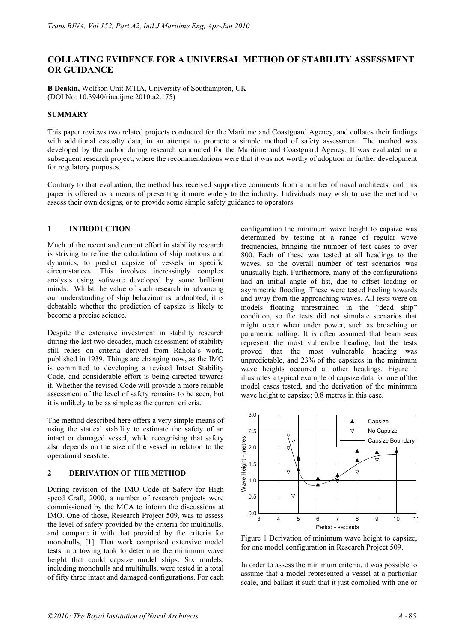# **COLLATING EVIDENCE FOR A UNIVERSAL METHOD OF STABILITY ASSESSMENT OR GUIDANCE**

**B Deakin,** Wolfson Unit MTIA, University of Southampton, UK (DOI No: 10.3940/rina.ijme.2010.a2.175)

## **SUMMARY**

This paper reviews two related projects conducted for the Maritime and Coastguard Agency, and collates their findings with additional casualty data, in an attempt to promote a simple method of safety assessment. The method was developed by the author during research conducted for the Maritime and Coastguard Agency. It was evaluated in a subsequent research project, where the recommendations were that it was not worthy of adoption or further development for regulatory purposes.

Contrary to that evaluation, the method has received supportive comments from a number of naval architects, and this paper is offered as a means of presenting it more widely to the industry. Individuals may wish to use the method to assess their own designs, or to provide some simple safety guidance to operators.

## **1 INTRODUCTION**

Much of the recent and current effort in stability research is striving to refine the calculation of ship motions and dynamics, to predict capsize of vessels in specific circumstances. This involves increasingly complex analysis using software developed by some brilliant minds. Whilst the value of such research in advancing our understanding of ship behaviour is undoubted, it is debatable whether the prediction of capsize is likely to become a precise science.

Despite the extensive investment in stability research during the last two decades, much assessment of stability still relies on criteria derived from Rahola's work, published in 1939. Things are changing now, as the IMO is committed to developing a revised Intact Stability Code, and considerable effort is being directed towards it. Whether the revised Code will provide a more reliable assessment of the level of safety remains to be seen, but it is unlikely to be as simple as the current criteria.

The method described here offers a very simple means of using the statical stability to estimate the safety of an intact or damaged vessel, while recognising that safety also depends on the size of the vessel in relation to the operational seastate.

### **2 DERIVATION OF THE METHOD**

During revision of the IMO Code of Safety for High speed Craft, 2000, a number of research projects were commissioned by the MCA to inform the discussions at IMO. One of those, Research Project 509, was to assess the level of safety provided by the criteria for multihulls, and compare it with that provided by the criteria for monohulls, [1]. That work comprised extensive model tests in a towing tank to determine the minimum wave height that could capsize model ships. Six models, including monohulls and multihulls, were tested in a total of fifty three intact and damaged configurations. For each configuration the minimum wave height to capsize was determined by testing at a range of regular wave frequencies, bringing the number of test cases to over 800. Each of these was tested at all headings to the waves, so the overall number of test scenarios was unusually high. Furthermore, many of the configurations had an initial angle of list, due to offset loading or asymmetric flooding. These were tested heeling towards and away from the approaching waves. All tests were on models floating unrestrained in the "dead ship" condition, so the tests did not simulate scenarios that might occur when under power, such as broaching or parametric rolling. It is often assumed that beam seas represent the most vulnerable heading, but the tests proved that the most vulnerable heading was unpredictable, and 23% of the capsizes in the minimum wave heights occurred at other headings. Figure 1 illustrates a typical example of capsize data for one of the model cases tested, and the derivation of the minimum wave height to capsize; 0.8 metres in this case.



Figure 1 Derivation of minimum wave height to capsize, for one model configuration in Research Project 509.

In order to assess the minimum criteria, it was possible to assume that a model represented a vessel at a particular scale, and ballast it such that it just complied with one or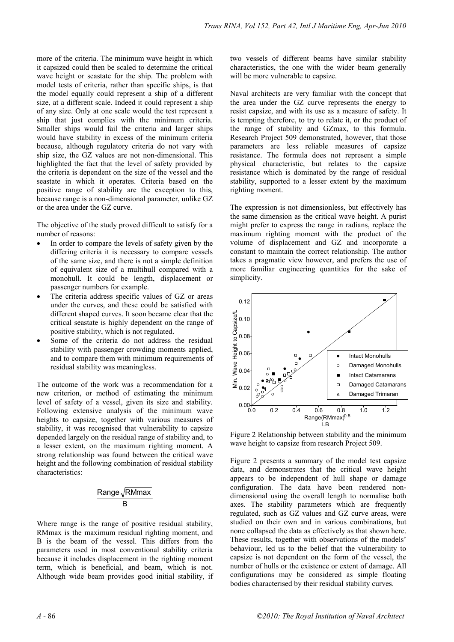more of the criteria. The minimum wave height in which it capsized could then be scaled to determine the critical wave height or seastate for the ship. The problem with model tests of criteria, rather than specific ships, is that the model equally could represent a ship of a different size, at a different scale. Indeed it could represent a ship of any size. Only at one scale would the test represent a ship that just complies with the minimum criteria. Smaller ships would fail the criteria and larger ships would have stability in excess of the minimum criteria because, although regulatory criteria do not vary with ship size, the GZ values are not non-dimensional. This highlighted the fact that the level of safety provided by the criteria is dependent on the size of the vessel and the seastate in which it operates. Criteria based on the positive range of stability are the exception to this, because range is a non-dimensional parameter, unlike GZ or the area under the GZ curve.

The objective of the study proved difficult to satisfy for a number of reasons:

- In order to compare the levels of safety given by the differing criteria it is necessary to compare vessels of the same size, and there is not a simple definition of equivalent size of a multihull compared with a monohull. It could be length, displacement or passenger numbers for example.
- The criteria address specific values of GZ or areas under the curves, and these could be satisfied with different shaped curves. It soon became clear that the critical seastate is highly dependent on the range of positive stability, which is not regulated.
- Some of the criteria do not address the residual stability with passenger crowding moments applied, and to compare them with minimum requirements of residual stability was meaningless.

The outcome of the work was a recommendation for a new criterion, or method of estimating the minimum level of safety of a vessel, given its size and stability. Following extensive analysis of the minimum wave heights to capsize, together with various measures of stability, it was recognised that vulnerability to capsize depended largely on the residual range of stability and, to a lesser extent, on the maximum righting moment. A strong relationship was found between the critical wave height and the following combination of residual stability characteristics:

$$
\frac{\text{Range}\sqrt{\text{RMmax}}}{B}
$$

Where range is the range of positive residual stability, RMmax is the maximum residual righting moment, and B is the beam of the vessel. This differs from the parameters used in most conventional stability criteria because it includes displacement in the righting moment term, which is beneficial, and beam, which is not. Although wide beam provides good initial stability, if two vessels of different beams have similar stability characteristics, the one with the wider beam generally will be more vulnerable to capsize.

Naval architects are very familiar with the concept that the area under the GZ curve represents the energy to resist capsize, and with its use as a measure of safety. It is tempting therefore, to try to relate it, or the product of the range of stability and GZmax, to this formula. Research Project 509 demonstrated, however, that those parameters are less reliable measures of capsize resistance. The formula does not represent a simple physical characteristic, but relates to the capsize resistance which is dominated by the range of residual stability, supported to a lesser extent by the maximum righting moment.

The expression is not dimensionless, but effectively has the same dimension as the critical wave height. A purist might prefer to express the range in radians, replace the maximum righting moment with the product of the volume of displacement and GZ and incorporate a constant to maintain the correct relationship. The author takes a pragmatic view however, and prefers the use of more familiar engineering quantities for the sake of simplicity.



Figure 2 Relationship between stability and the minimum wave height to capsize from research Project 509.

Figure 2 presents a summary of the model test capsize data, and demonstrates that the critical wave height appears to be independent of hull shape or damage configuration. The data have been rendered nondimensional using the overall length to normalise both axes. The stability parameters which are frequently regulated, such as GZ values and GZ curve areas, were studied on their own and in various combinations, but none collapsed the data as effectively as that shown here. These results, together with observations of the models' behaviour, led us to the belief that the vulnerability to capsize is not dependent on the form of the vessel, the number of hulls or the existence or extent of damage. All configurations may be considered as simple floating bodies characterised by their residual stability curves.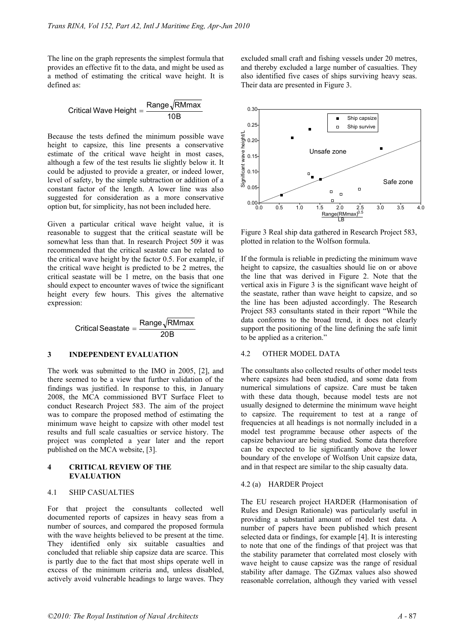The line on the graph represents the simplest formula that provides an effective fit to the data, and might be used as a method of estimating the critical wave height. It is defined as:

Critical Wave Height  $=\dfrac{\text{Range} \sqrt{\text{RMmax}}}{10 \text{B}}$ 

Because the tests defined the minimum possible wave height to capsize, this line presents a conservative estimate of the critical wave height in most cases, although a few of the test results lie slightly below it. It could be adjusted to provide a greater, or indeed lower, level of safety, by the simple subtraction or addition of a constant factor of the length. A lower line was also suggested for consideration as a more conservative option but, for simplicity, has not been included here.

Given a particular critical wave height value, it is reasonable to suggest that the critical seastate will be somewhat less than that. In research Project 509 it was recommended that the critical seastate can be related to the critical wave height by the factor 0.5. For example, if the critical wave height is predicted to be 2 metres, the critical seastate will be 1 metre, on the basis that one should expect to encounter waves of twice the significant height every few hours. This gives the alternative expression:

 $\text{Critical Seastate} = \frac{\text{Range}\sqrt{\text{RMmax}}}{20 \text{B}}$ 

## **3 INDEPENDENT EVALUATION**

The work was submitted to the IMO in 2005, [2], and there seemed to be a view that further validation of the findings was justified. In response to this, in January 2008, the MCA commissioned BVT Surface Fleet to conduct Research Project 583. The aim of the project was to compare the proposed method of estimating the minimum wave height to capsize with other model test results and full scale casualties or service history. The project was completed a year later and the report published on the MCA website, [3].

#### **4 CRITICAL REVIEW OF THE EVALUATION**

### 4.1 SHIP CASUALTIES

For that project the consultants collected well documented reports of capsizes in heavy seas from a number of sources, and compared the proposed formula with the wave heights believed to be present at the time. They identified only six suitable casualties and concluded that reliable ship capsize data are scarce. This is partly due to the fact that most ships operate well in excess of the minimum criteria and, unless disabled, actively avoid vulnerable headings to large waves. They

excluded small craft and fishing vessels under 20 metres, and thereby excluded a large number of casualties. They also identified five cases of ships surviving heavy seas. Their data are presented in Figure 3.



Figure 3 Real ship data gathered in Research Project 583, plotted in relation to the Wolfson formula.

If the formula is reliable in predicting the minimum wave height to capsize, the casualties should lie on or above the line that was derived in Figure 2. Note that the vertical axis in Figure 3 is the significant wave height of the seastate, rather than wave height to capsize, and so the line has been adjusted accordingly. The Research Project 583 consultants stated in their report "While the data conforms to the broad trend, it does not clearly support the positioning of the line defining the safe limit to be applied as a criterion."

### 4.2 OTHER MODEL DATA

The consultants also collected results of other model tests where capsizes had been studied, and some data from numerical simulations of capsize. Care must be taken with these data though, because model tests are not usually designed to determine the minimum wave height to capsize. The requirement to test at a range of frequencies at all headings is not normally included in a model test programme because other aspects of the capsize behaviour are being studied. Some data therefore can be expected to lie significantly above the lower boundary of the envelope of Wolfson Unit capsize data, and in that respect are similar to the ship casualty data.

#### 4.2 (a) HARDER Project

The EU research project HARDER (Harmonisation of Rules and Design Rationale) was particularly useful in providing a substantial amount of model test data. A number of papers have been published which present selected data or findings, for example [4]. It is interesting to note that one of the findings of that project was that the stability parameter that correlated most closely with wave height to cause capsize was the range of residual stability after damage. The GZmax values also showed reasonable correlation, although they varied with vessel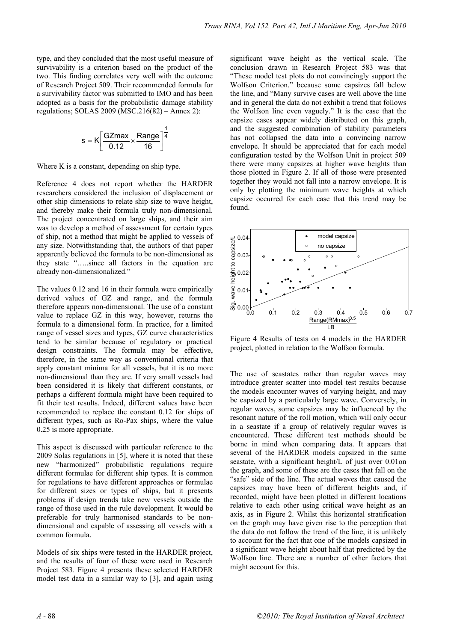type, and they concluded that the most useful measure of survivability is a criterion based on the product of the two. This finding correlates very well with the outcome of Research Project 509. Their recommended formula for a survivability factor was submitted to IMO and has been adopted as a basis for the probabilistic damage stability regulations; SOLAS 2009 (MSC.216(82) – Annex 2):

$$
s = K \left[ \frac{GZmax}{0.12} \times \frac{Range}{16} \right]^{\frac{1}{4}}
$$

Where K is a constant, depending on ship type.

Reference 4 does not report whether the HARDER researchers considered the inclusion of displacement or other ship dimensions to relate ship size to wave height, and thereby make their formula truly non-dimensional. The project concentrated on large ships, and their aim was to develop a method of assessment for certain types of ship, not a method that might be applied to vessels of any size. Notwithstanding that, the authors of that paper apparently believed the formula to be non-dimensional as they state "…..since all factors in the equation are already non-dimensionalized."

The values 0.12 and 16 in their formula were empirically derived values of GZ and range, and the formula therefore appears non-dimensional. The use of a constant value to replace GZ in this way, however, returns the formula to a dimensional form. In practice, for a limited range of vessel sizes and types, GZ curve characteristics tend to be similar because of regulatory or practical design constraints. The formula may be effective, therefore, in the same way as conventional criteria that apply constant minima for all vessels, but it is no more non-dimensional than they are. If very small vessels had been considered it is likely that different constants, or perhaps a different formula might have been required to fit their test results. Indeed, different values have been recommended to replace the constant 0.12 for ships of different types, such as Ro-Pax ships, where the value 0.25 is more appropriate.

This aspect is discussed with particular reference to the 2009 Solas regulations in [5], where it is noted that these new "harmonized" probabilistic regulations require different formulae for different ship types. It is common for regulations to have different approaches or formulae for different sizes or types of ships, but it presents problems if design trends take new vessels outside the range of those used in the rule development. It would be preferable for truly harmonised standards to be nondimensional and capable of assessing all vessels with a common formula.

Models of six ships were tested in the HARDER project, and the results of four of these were used in Research Project 583. Figure 4 presents these selected HARDER model test data in a similar way to [3], and again using significant wave height as the vertical scale. The conclusion drawn in Research Project 583 was that "These model test plots do not convincingly support the Wolfson Criterion." because some capsizes fall below the line, and "Many survive cases are well above the line and in general the data do not exhibit a trend that follows the Wolfson line even vaguely." It is the case that the capsize cases appear widely distributed on this graph, and the suggested combination of stability parameters has not collapsed the data into a convincing narrow envelope. It should be appreciated that for each model configuration tested by the Wolfson Unit in project 509 there were many capsizes at higher wave heights than those plotted in Figure 2. If all of those were presented together they would not fall into a narrow envelope. It is only by plotting the minimum wave heights at which capsize occurred for each case that this trend may be found.



Figure 4 Results of tests on 4 models in the HARDER project, plotted in relation to the Wolfson formula.

The use of seastates rather than regular waves may introduce greater scatter into model test results because the models encounter waves of varying height, and may be capsized by a particularly large wave. Conversely, in regular waves, some capsizes may be influenced by the resonant nature of the roll motion, which will only occur in a seastate if a group of relatively regular waves is encountered. These different test methods should be borne in mind when comparing data. It appears that several of the HARDER models capsized in the same seastate, with a significant height/L of just over 0.01on the graph, and some of these are the cases that fall on the "safe" side of the line. The actual waves that caused the capsizes may have been of different heights and, if recorded, might have been plotted in different locations relative to each other using critical wave height as an axis, as in Figure 2. Whilst this horizontal stratification on the graph may have given rise to the perception that the data do not follow the trend of the line, it is unlikely to account for the fact that one of the models capsized in a significant wave height about half that predicted by the Wolfson line. There are a number of other factors that might account for this.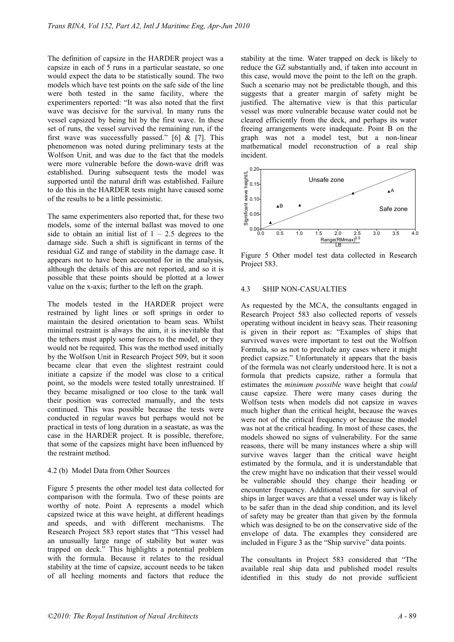The definition of capsize in the HARDER project was a capsize in each of 5 runs in a particular seastate, so one would expect the data to be statistically sound. The two models which have test points on the safe side of the line were both tested in the same facility, where the experimenters reported: "It was also noted that the first wave was decisive for the survival. In many runs the vessel capsized by being hit by the first wave. In these set of runs, the vessel survived the remaining run, if the first wave was successfully passed." [6]  $&$  [7]. This phenomenon was noted during preliminary tests at the Wolfson Unit, and was due to the fact that the models were more vulnerable before the down-wave drift was established. During subsequent tests the model was supported until the natural drift was established. Failure to do this in the HARDER tests might have caused some of the results to be a little pessimistic.

The same experimenters also reported that, for these two models, some of the internal ballast was moved to one side to obtain an initial list of  $1 - 2.5$  degrees to the damage side. Such a shift is significant in terms of the residual GZ and range of stability in the damage case. It appears not to have been accounted for in the analysis, although the details of this are not reported, and so it is possible that these points should be plotted at a lower value on the x-axis; further to the left on the graph.

The models tested in the HARDER project were restrained by light lines or soft springs in order to maintain the desired orientation to beam seas. Whilst minimal restraint is always the aim, it is inevitable that the tethers must apply some forces to the model, or they would not be required. This was the method used initially by the Wolfson Unit in Research Project 509, but it soon became clear that even the slightest restraint could initiate a capsize if the model was close to a critical point, so the models were tested totally unrestrained. If they became misaligned or too close to the tank wall their position was corrected manually, and the tests continued. This was possible because the tests were conducted in regular waves but perhaps would not be practical in tests of long duration in a seastate, as was the case in the HARDER project. It is possible, therefore, that some of the capsizes might have been influenced by the restraint method.

## 4.2 (b) Model Data from Other Sources

Figure 5 presents the other model test data collected for comparison with the formula. Two of these points are worthy of note. Point A represents a model which capsized twice at this wave height, at different headings and speeds, and with different mechanisms. The Research Project 583 report states that "This vessel had an unusually large range of stability but water was trapped on deck." This highlights a potential problem with the formula. Because it relates to the residual stability at the time of capsize, account needs to be taken of all heeling moments and factors that reduce the stability at the time. Water trapped on deck is likely to reduce the GZ substantially and, if taken into account in this case, would move the point to the left on the graph. Such a scenario may not be predictable though, and this suggests that a greater margin of safety might be justified. The alternative view is that this particular vessel was more vulnerable because water could not be cleared efficiently from the deck, and perhaps its water freeing arrangements were inadequate. Point B on the graph was not a model test, but a non-linear mathematical model reconstruction of a real ship incident.



Figure 5 Other model test data collected in Research Project 583.

## 4.3 SHIP NON-CASUALTIES

As requested by the MCA, the consultants engaged in Research Project 583 also collected reports of vessels operating without incident in heavy seas. Their reasoning is given in their report as: "Examples of ships that survived waves were important to test out the Wolfson Formula, so as not to preclude any cases where it might predict capsize." Unfortunately it appears that the basis of the formula was not clearly understood here. It is not a formula that predicts capsize, rather a formula that estimates the *minimum possible* wave height that *could* cause capsize. There were many cases during the Wolfson tests when models did not capsize in waves much higher than the critical height, because the waves were not of the critical frequency or because the model was not at the critical heading. In most of these cases, the models showed no signs of vulnerability. For the same reasons, there will be many instances where a ship will survive waves larger than the critical wave height estimated by the formula, and it is understandable that the crew might have no indication that their vessel would be vulnerable should they change their heading or encounter frequency. Additional reasons for survival of ships in larger waves are that a vessel under way is likely to be safer than in the dead ship condition, and its level of safety may be greater than that given by the formula which was designed to be on the conservative side of the envelope of data. The examples they considered are included in Figure 3 as the "Ship survive" data points.

The consultants in Project 583 considered that "The available real ship data and published model results identified in this study do not provide sufficient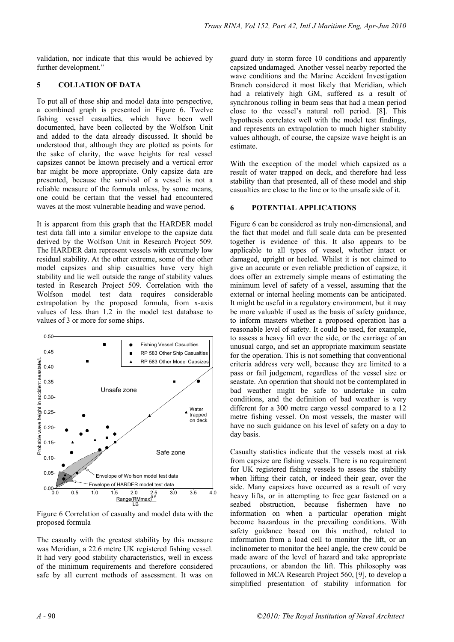validation, nor indicate that this would be achieved by further development."

## **5 COLLATION OF DATA**

To put all of these ship and model data into perspective, a combined graph is presented in Figure 6. Twelve fishing vessel casualties, which have been well documented, have been collected by the Wolfson Unit and added to the data already discussed. It should be understood that, although they are plotted as points for the sake of clarity, the wave heights for real vessel capsizes cannot be known precisely and a vertical error bar might be more appropriate. Only capsize data are presented, because the survival of a vessel is not a reliable measure of the formula unless, by some means, one could be certain that the vessel had encountered waves at the most vulnerable heading and wave period.

It is apparent from this graph that the HARDER model test data fall into a similar envelope to the capsize data derived by the Wolfson Unit in Research Project 509. The HARDER data represent vessels with extremely low residual stability. At the other extreme, some of the other model capsizes and ship casualties have very high stability and lie well outside the range of stability values tested in Research Project 509. Correlation with the Wolfson model test data requires considerable extrapolation by the proposed formula, from x-axis values of less than 1.2 in the model test database to values of 3 or more for some ships.



Figure 6 Correlation of casualty and model data with the proposed formula

The casualty with the greatest stability by this measure was Meridian, a 22.6 metre UK registered fishing vessel. It had very good stability characteristics, well in excess of the minimum requirements and therefore considered safe by all current methods of assessment. It was on guard duty in storm force 10 conditions and apparently capsized undamaged. Another vessel nearby reported the wave conditions and the Marine Accident Investigation Branch considered it most likely that Meridian, which had a relatively high GM, suffered as a result of synchronous rolling in beam seas that had a mean period close to the vessel's natural roll period. [8]. This hypothesis correlates well with the model test findings, and represents an extrapolation to much higher stability values although, of course, the capsize wave height is an estimate.

With the exception of the model which capsized as a result of water trapped on deck, and therefore had less stability than that presented, all of these model and ship casualties are close to the line or to the unsafe side of it.

## **6 POTENTIAL APPLICATIONS**

Figure 6 can be considered as truly non-dimensional, and the fact that model and full scale data can be presented together is evidence of this. It also appears to be applicable to all types of vessel, whether intact or damaged, upright or heeled. Whilst it is not claimed to give an accurate or even reliable prediction of capsize, it does offer an extremely simple means of estimating the minimum level of safety of a vessel, assuming that the external or internal heeling moments can be anticipated. It might be useful in a regulatory environment, but it may be more valuable if used as the basis of safety guidance, to inform masters whether a proposed operation has a reasonable level of safety. It could be used, for example, to assess a heavy lift over the side, or the carriage of an unusual cargo, and set an appropriate maximum seastate for the operation. This is not something that conventional criteria address very well, because they are limited to a pass or fail judgement, regardless of the vessel size or seastate. An operation that should not be contemplated in bad weather might be safe to undertake in calm conditions, and the definition of bad weather is very different for a 300 metre cargo vessel compared to a 12 metre fishing vessel. On most vessels, the master will have no such guidance on his level of safety on a day to day basis.

Casualty statistics indicate that the vessels most at risk from capsize are fishing vessels. There is no requirement for UK registered fishing vessels to assess the stability when lifting their catch, or indeed their gear, over the side. Many capsizes have occurred as a result of very heavy lifts, or in attempting to free gear fastened on a seabed obstruction, because fishermen have no information on when a particular operation might become hazardous in the prevailing conditions. With safety guidance based on this method, related to information from a load cell to monitor the lift, or an inclinometer to monitor the heel angle, the crew could be made aware of the level of hazard and take appropriate precautions, or abandon the lift. This philosophy was followed in MCA Research Project 560, [9], to develop a simplified presentation of stability information for